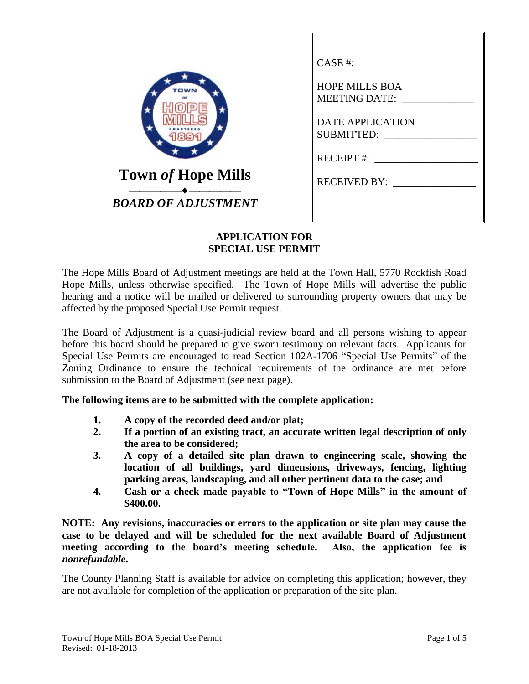| TOWN                                                    | CASE #:<br><b>HOPE MILLS BOA</b><br><b>MEETING DATE:</b><br><b>DATE APPLICATION</b> |
|---------------------------------------------------------|-------------------------------------------------------------------------------------|
| <b>Town of Hope Mills</b><br><b>BOARD OF ADJUSTMENT</b> | <b>SUBMITTED:</b><br>$RECEIPT$ #:<br><b>RECEIVED BY:</b>                            |

### **APPLICATION FOR SPECIAL USE PERMIT**

The Hope Mills Board of Adjustment meetings are held at the Town Hall, 5770 Rockfish Road Hope Mills, unless otherwise specified. The Town of Hope Mills will advertise the public hearing and a notice will be mailed or delivered to surrounding property owners that may be affected by the proposed Special Use Permit request.

The Board of Adjustment is a quasi-judicial review board and all persons wishing to appear before this board should be prepared to give sworn testimony on relevant facts. Applicants for Special Use Permits are encouraged to read Section 102A-1706 "Special Use Permits" of the Zoning Ordinance to ensure the technical requirements of the ordinance are met before submission to the Board of Adjustment (see next page).

**The following items are to be submitted with the complete application:**

- **1. A copy of the recorded deed and/or plat;**
- **2. If a portion of an existing tract, an accurate written legal description of only the area to be considered;**
- **3. A copy of a detailed site plan drawn to engineering scale, showing the location of all buildings, yard dimensions, driveways, fencing, lighting parking areas, landscaping, and all other pertinent data to the case; and**
- **4. Cash or a check made payable to "Town of Hope Mills" in the amount of \$400.00.**

**NOTE: Any revisions, inaccuracies or errors to the application or site plan may cause the case to be delayed and will be scheduled for the next available Board of Adjustment meeting according to the board's meeting schedule. Also, the application fee is**  *nonrefundable***.**

The County Planning Staff is available for advice on completing this application; however, they are not available for completion of the application or preparation of the site plan.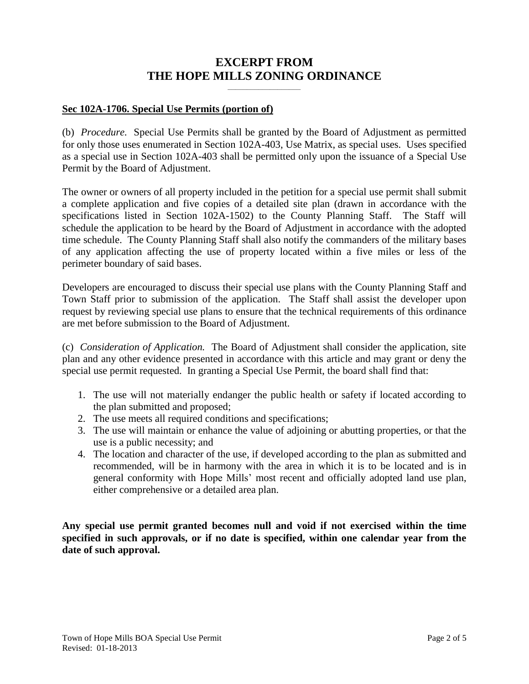# **EXCERPT FROM THE HOPE MILLS ZONING ORDINANCE**

**\_\_\_\_\_\_\_\_\_\_\_\_\_\_\_\_\_\_\_**

### **Sec 102A-1706. Special Use Permits (portion of)**

(b) *Procedure.* Special Use Permits shall be granted by the Board of Adjustment as permitted for only those uses enumerated in Section 102A-403, Use Matrix, as special uses. Uses specified as a special use in Section 102A-403 shall be permitted only upon the issuance of a Special Use Permit by the Board of Adjustment.

The owner or owners of all property included in the petition for a special use permit shall submit a complete application and five copies of a detailed site plan (drawn in accordance with the specifications listed in Section 102A-1502) to the County Planning Staff. The Staff will schedule the application to be heard by the Board of Adjustment in accordance with the adopted time schedule. The County Planning Staff shall also notify the commanders of the military bases of any application affecting the use of property located within a five miles or less of the perimeter boundary of said bases.

Developers are encouraged to discuss their special use plans with the County Planning Staff and Town Staff prior to submission of the application. The Staff shall assist the developer upon request by reviewing special use plans to ensure that the technical requirements of this ordinance are met before submission to the Board of Adjustment.

(c) *Consideration of Application.* The Board of Adjustment shall consider the application, site plan and any other evidence presented in accordance with this article and may grant or deny the special use permit requested. In granting a Special Use Permit, the board shall find that:

- 1. The use will not materially endanger the public health or safety if located according to the plan submitted and proposed;
- 2. The use meets all required conditions and specifications;
- 3. The use will maintain or enhance the value of adjoining or abutting properties, or that the use is a public necessity; and
- 4. The location and character of the use, if developed according to the plan as submitted and recommended, will be in harmony with the area in which it is to be located and is in general conformity with Hope Mills' most recent and officially adopted land use plan, either comprehensive or a detailed area plan.

**Any special use permit granted becomes null and void if not exercised within the time specified in such approvals, or if no date is specified, within one calendar year from the date of such approval.**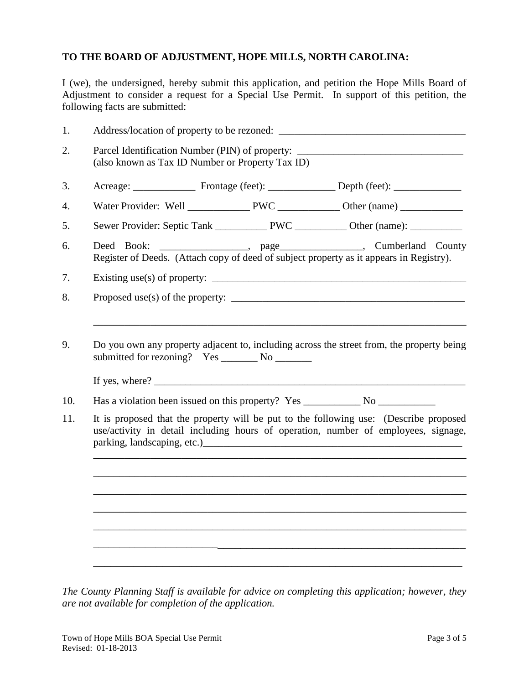## **TO THE BOARD OF ADJUSTMENT, HOPE MILLS, NORTH CAROLINA:**

I (we), the undersigned, hereby submit this application, and petition the Hope Mills Board of Adjustment to consider a request for a Special Use Permit. In support of this petition, the following facts are submitted:

| 1.  |                                                                                                                                                                             |  |  |                                                                                                                                                                                                                                                                              |  |
|-----|-----------------------------------------------------------------------------------------------------------------------------------------------------------------------------|--|--|------------------------------------------------------------------------------------------------------------------------------------------------------------------------------------------------------------------------------------------------------------------------------|--|
| 2.  | Parcel Identification Number (PIN) of property: ________________________________<br>(also known as Tax ID Number or Property Tax ID)                                        |  |  |                                                                                                                                                                                                                                                                              |  |
| 3.  |                                                                                                                                                                             |  |  |                                                                                                                                                                                                                                                                              |  |
| 4.  |                                                                                                                                                                             |  |  |                                                                                                                                                                                                                                                                              |  |
| 5.  |                                                                                                                                                                             |  |  |                                                                                                                                                                                                                                                                              |  |
| 6.  | Deed Book:                                                                                                                                                                  |  |  | Cumberland County<br>Register of Deeds. (Attach copy of deed of subject property as it appears in Registry).                                                                                                                                                                 |  |
| 7.  | Existing use(s) of property: $\sqrt{\frac{2}{1-\frac{1}{2}} \left(\frac{1}{2}-\frac{1}{2}\right)^2}$                                                                        |  |  |                                                                                                                                                                                                                                                                              |  |
| 8.  |                                                                                                                                                                             |  |  | Proposed use(s) of the property: $\sqrt{2}$ and $\sqrt{2}$ and $\sqrt{2}$ and $\sqrt{2}$ and $\sqrt{2}$ and $\sqrt{2}$ and $\sqrt{2}$ and $\sqrt{2}$ and $\sqrt{2}$ and $\sqrt{2}$ and $\sqrt{2}$ and $\sqrt{2}$ and $\sqrt{2}$ and $\sqrt{2}$ and $\sqrt{2}$ and $\sqrt{2}$ |  |
| 10. |                                                                                                                                                                             |  |  |                                                                                                                                                                                                                                                                              |  |
| 9.  | Do you own any property adjacent to, including across the street from, the property being                                                                                   |  |  |                                                                                                                                                                                                                                                                              |  |
| 11. | It is proposed that the property will be put to the following use: (Describe proposed<br>use/activity in detail including hours of operation, number of employees, signage, |  |  |                                                                                                                                                                                                                                                                              |  |
|     |                                                                                                                                                                             |  |  |                                                                                                                                                                                                                                                                              |  |
|     |                                                                                                                                                                             |  |  |                                                                                                                                                                                                                                                                              |  |
|     |                                                                                                                                                                             |  |  |                                                                                                                                                                                                                                                                              |  |
|     |                                                                                                                                                                             |  |  |                                                                                                                                                                                                                                                                              |  |
|     |                                                                                                                                                                             |  |  |                                                                                                                                                                                                                                                                              |  |

*The County Planning Staff is available for advice on completing this application; however, they are not available for completion of the application.*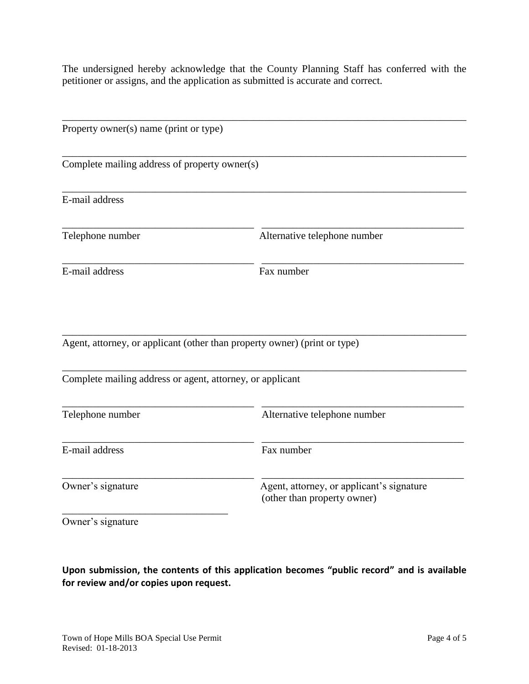The undersigned hereby acknowledge that the County Planning Staff has conferred with the petitioner or assigns, and the application as submitted is accurate and correct.

| Property owner(s) name (print or type)                    |                                                                           |  |
|-----------------------------------------------------------|---------------------------------------------------------------------------|--|
| Complete mailing address of property owner(s)             |                                                                           |  |
| E-mail address                                            |                                                                           |  |
| Telephone number                                          | Alternative telephone number                                              |  |
| E-mail address                                            | Fax number                                                                |  |
|                                                           | Agent, attorney, or applicant (other than property owner) (print or type) |  |
| Complete mailing address or agent, attorney, or applicant |                                                                           |  |
| Telephone number                                          | Alternative telephone number                                              |  |
| E-mail address                                            | Fax number                                                                |  |
| Owner's signature                                         | Agent, attorney, or applicant's signature<br>(other than property owner)  |  |

Owner's signature

**Upon submission, the contents of this application becomes "public record" and is available for review and/or copies upon request.**